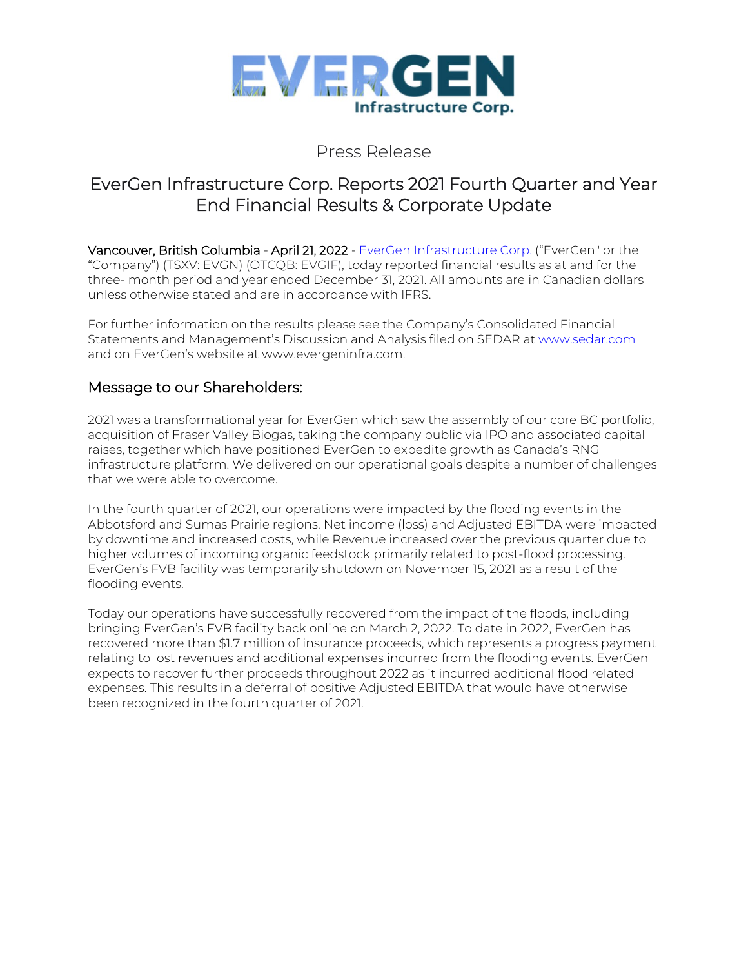

### Press Release

# EverGen Infrastructure Corp. Reports 2021 Fourth Quarter and Year End Financial Results & Corporate Update

Vancouver, British Columbia - April 21, 2022 - EverGen [Infrastructure](https://www.evergeninfra.com/) Corp. ("EverGen" or the "Company") (TSXV: EVGN) (OTCQB: EVGIF), today reported financial results as at and for the three- month period and year ended December 31, 2021. All amounts are in Canadian dollars unless otherwise stated and are in accordance with IFRS.

For further information on the results please see the Company's Consolidated Financial Statements and Management's Discussion and Analysis filed on SEDAR at [www.sedar.com](http://www.sedar.com/) and on EverGen's website at www.evergeninfra.com.

### Message to our Shareholders:

2021 was a transformational year for EverGen which saw the assembly of our core BC portfolio, acquisition of Fraser Valley Biogas, taking the company public via IPO and associated capital raises, together which have positioned EverGen to expedite growth as Canada's RNG infrastructure platform. We delivered on our operational goals despite a number of challenges that we were able to overcome.

In the fourth quarter of 2021, our operations were impacted by the flooding events in the Abbotsford and Sumas Prairie regions. Net income (loss) and Adjusted EBITDA were impacted by downtime and increased costs, while Revenue increased over the previous quarter due to higher volumes of incoming organic feedstock primarily related to post-flood processing. EverGen's FVB facility was temporarily shutdown on November 15, 2021 as a result of the flooding events.

Today our operations have successfully recovered from the impact of the floods, including bringing EverGen's FVB facility back online on March 2, 2022. To date in 2022, EverGen has recovered more than \$1.7 million of insurance proceeds, which represents a progress payment relating to lost revenues and additional expenses incurred from the flooding events. EverGen expects to recover further proceeds throughout 2022 as it incurred additional flood related expenses. This results in a deferral of positive Adjusted EBITDA that would have otherwise been recognized in the fourth quarter of 2021.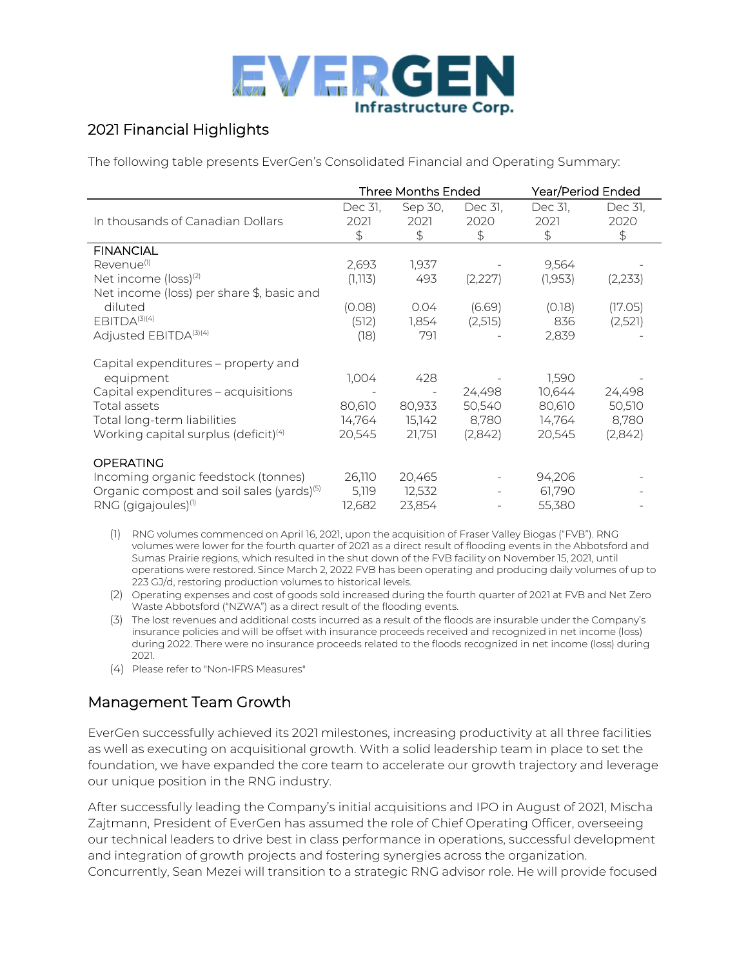

## 2021 Financial Highlights

The following table presents EverGen's Consolidated Financial and Operating Summary:

|                                                                                                         | Three Months Ended    |                       |                       | Year/Period Ended         |                       |
|---------------------------------------------------------------------------------------------------------|-----------------------|-----------------------|-----------------------|---------------------------|-----------------------|
| In thousands of Canadian Dollars                                                                        | Dec 31,<br>2021<br>\$ | Sep 30,<br>2021<br>\$ | Dec 31,<br>2020<br>\$ | Dec 31,<br>2021<br>\$     | Dec 31,<br>2020<br>\$ |
| <b>FINANCIAL</b>                                                                                        |                       |                       |                       |                           |                       |
| Revenue <sup>(1)</sup>                                                                                  | 2,693                 | 1,937                 |                       | 9,564                     |                       |
| Net income (loss) <sup>(2)</sup>                                                                        | (1, 113)              | 493                   | (2,227)               | (1,953)                   | (2,233)               |
| Net income (loss) per share \$, basic and                                                               |                       |                       |                       |                           |                       |
| diluted                                                                                                 | (0.08)                | 0.04                  | (6.69)                | (0.18)                    | (17.05)               |
| EBITDA(3)(4)                                                                                            | (512)                 | 1,854                 | (2,515)               | 836                       | (2,521)               |
| Adjusted EBITDA(3)(4)                                                                                   | (18)                  | 791                   |                       | 2,839                     |                       |
| Capital expenditures - property and<br>equipment<br>Capital expenditures - acquisitions<br>Total assets | 1,004<br>80,610       | 428<br>80,933         | 24,498<br>50,540      | 1,590<br>10,644<br>80,610 | 24,498<br>50,510      |
| Total long-term liabilities                                                                             | 14,764                | 15,142                | 8,780                 | 14,764                    | 8,780                 |
| Working capital surplus (deficit) <sup>(4)</sup>                                                        | 20,545                | 21,751                | (2,842)               | 20,545                    | (2,842)               |
| <b>OPERATING</b>                                                                                        |                       |                       |                       |                           |                       |
| Incoming organic feedstock (tonnes)                                                                     | 26,110                | 20,465                |                       | 94,206                    |                       |
| Organic compost and soil sales (yards) <sup>(5)</sup>                                                   | 5,119                 | 12,532                |                       | 61,790                    |                       |
| RNG (gigajoules) <sup>(1)</sup>                                                                         | 12,682                | 23,854                |                       | 55,380                    |                       |

(1) RNG volumes commenced on April 16, 2021, upon the acquisition of Fraser Valley Biogas ("FVB"). RNG volumes were lower for the fourth quarter of 2021 as a direct result of flooding events in the Abbotsford and Sumas Prairie regions, which resulted in the shut down of the FVB facility on November 15, 2021, until operations were restored. Since March 2, 2022 FVB has been operating and producing daily volumes of up to 223 GJ/d, restoring production volumes to historical levels.

(2) Operating expenses and cost of goods sold increased during the fourth quarter of 2021 at FVB and Net Zero Waste Abbotsford ("NZWA") as a direct result of the flooding events.

(3) The lost revenues and additional costs incurred as a result of the floods are insurable under the Company's insurance policies and will be offset with insurance proceeds received and recognized in net income (loss) during 2022. There were no insurance proceeds related to the floods recognized in net income (loss) during 2021.

(4) Please refer to "Non-IFRS Measures"

### Management Team Growth

EverGen successfully achieved its 2021 milestones, increasing productivity at all three facilities as well as executing on acquisitional growth. With a solid leadership team in place to set the foundation, we have expanded the core team to accelerate our growth trajectory and leverage our unique position in the RNG industry.

After successfully leading the Company's initial acquisitions and IPO in August of 2021, Mischa Zajtmann, President of EverGen has assumed the role of Chief Operating Officer, overseeing our technical leaders to drive best in class performance in operations, successful development and integration of growth projects and fostering synergies across the organization. Concurrently, Sean Mezei will transition to a strategic RNG advisor role. He will provide focused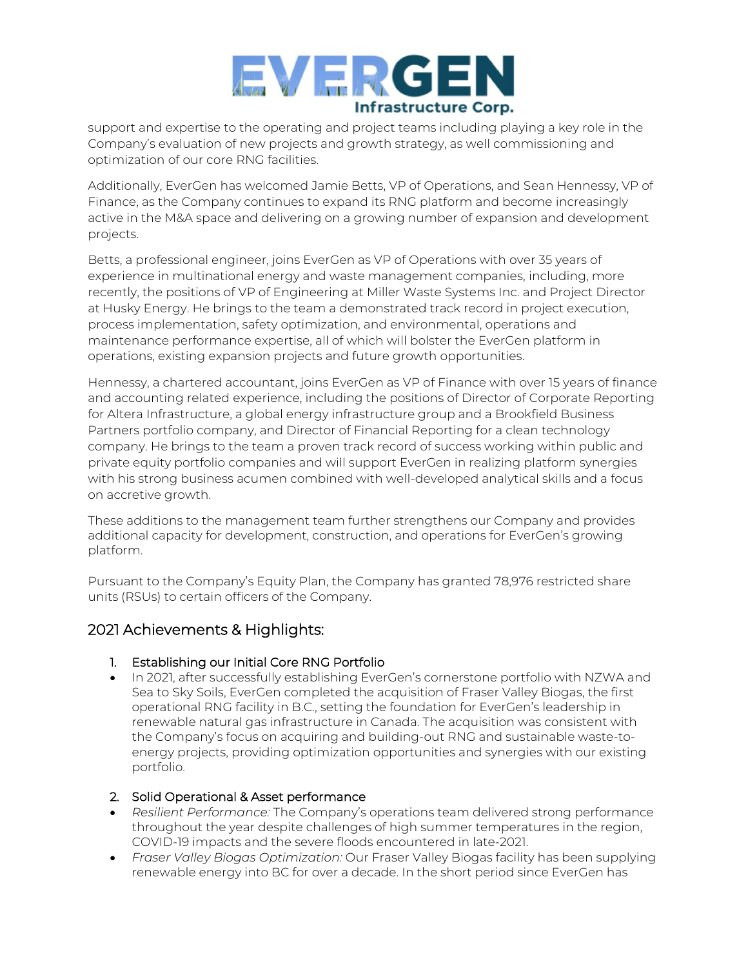

support and expertise to the operating and project teams including playing a key role in the Company's evaluation of new projects and growth strategy, as well commissioning and optimization of our core RNG facilities.

Additionally, EverGen has welcomed Jamie Betts, VP of Operations, and Sean Hennessy, VP of Finance, as the Company continues to expand its RNG platform and become increasingly active in the M&A space and delivering on a growing number of expansion and development projects.

Betts, a professional engineer, joins EverGen as VP of Operations with over 35 years of experience in multinational energy and waste management companies, including, more recently, the positions of VP of Engineering at Miller Waste Systems Inc. and Project Director at Husky Energy. He brings to the team a demonstrated track record in project execution, process implementation, safety optimization, and environmental, operations and maintenance performance expertise, all of which will bolster the EverGen platform in operations, existing expansion projects and future growth opportunities.

Hennessy, a chartered accountant, joins EverGen as VP of Finance with over 15 years of finance and accounting related experience, including the positions of Director of Corporate Reporting for Altera Infrastructure, a global energy infrastructure group and a Brookfield Business Partners portfolio company, and Director of Financial Reporting for a clean technology company. He brings to the team a proven track record of success working within public and private equity portfolio companies and will support EverGen in realizing platform synergies with his strong business acumen combined with well-developed analytical skills and a focus on accretive growth.

These additions to the management team further strengthens our Company and provides additional capacity for development, construction, and operations for EverGen's growing platform.

Pursuant to the Company's Equity Plan, the Company has granted 78,976 restricted share units (RSUs) to certain officers of the Company.

### 2021 Achievements & Highlights:

#### 1. Establishing our Initial Core RNG Portfolio

• In 2021, after successfully establishing EverGen's cornerstone portfolio with NZWA and Sea to Sky Soils, EverGen completed the acquisition of Fraser Valley Biogas, the first operational RNG facility in B.C., setting the foundation for EverGen's leadership in renewable natural gas infrastructure in Canada. The acquisition was consistent with the Company's focus on acquiring and building-out RNG and sustainable waste-toenergy projects, providing optimization opportunities and synergies with our existing portfolio.

#### 2. Solid Operational & Asset performance

- *Resilient Performance:* The Company's operations team delivered strong performance throughout the year despite challenges of high summer temperatures in the region, COVID-19 impacts and the severe floods encountered in late-2021.
- *Fraser Valley Biogas Optimization:* Our Fraser Valley Biogas facility has been supplying renewable energy into BC for over a decade. In the short period since EverGen has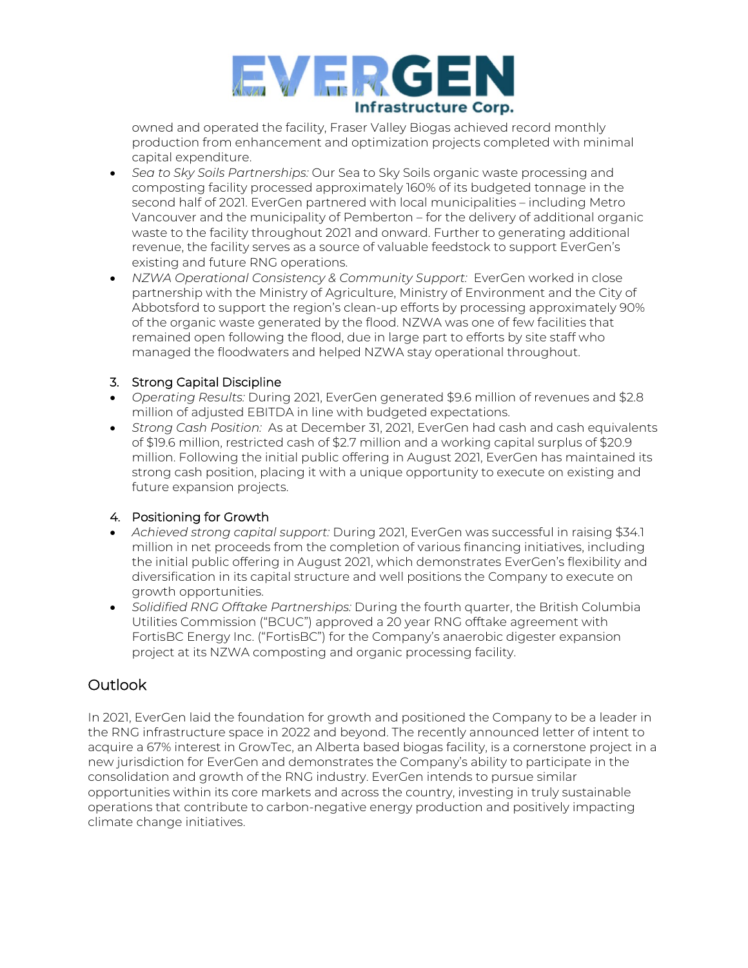

owned and operated the facility, Fraser Valley Biogas achieved record monthly production from enhancement and optimization projects completed with minimal capital expenditure.

- *Sea to Sky Soils Partnerships:* Our Sea to Sky Soils organic waste processing and composting facility processed approximately 160% of its budgeted tonnage in the second half of 2021. EverGen partnered with local municipalities – including Metro Vancouver and the municipality of Pemberton – for the delivery of additional organic waste to the facility throughout 2021 and onward. Further to generating additional revenue, the facility serves as a source of valuable feedstock to support EverGen's existing and future [RNG](https://www.evergeninfra.com/) operations.
- *NZWA Operational Consistency & Community Support:* EverGen worked in close partnership with the Ministry of Agriculture, Ministry of Environment and the City of Abbotsford to support the region's clean-up efforts by processing approximately 90% of the organic waste generated by the flood. NZWA was one of few facilities that remained open following the flood, due in large part to efforts by site staff who managed the floodwaters and helped NZWA stay operational throughout.

#### 3. Strong Capital Discipline

- *Operating Results:* During 2021, EverGen generated \$9.6 million of revenues and \$2.8 million of adjusted EBITDA in line with budgeted expectations.
- *Strong Cash Position:* As at December 31, 2021, EverGen had cash and cash equivalents of \$19.6 million, restricted cash of \$2.7 million and a working capital surplus of \$20.9 million. Following the initial public offering in August 2021, EverGen has maintained its strong cash position, placing it with a unique opportunity to execute on existing and future expansion projects.

#### 4. Positioning for Growth

- *Achieved strong capital support:* During 2021, EverGen was successful in raising \$34.1 million in net proceeds from the completion of various financing initiatives, including the initial public offering in August 2021, which demonstrates EverGen's flexibility and diversification in its capital structure and well positions the Company to execute on growth opportunities.
- *Solidified RNG Offtake Partnerships:* During the fourth quarter, the British Columbia Utilities Commission ("BCUC") approved a 20 year RNG offtake agreement with FortisBC Energy Inc. ("FortisBC") for the Company's anaerobic digester expansion project at its NZWA composting and organic processing facility.

### Outlook

In 2021, EverGen laid the foundation for growth and positioned the Company to be a leader in the RNG infrastructure space in 2022 and beyond. The recently announced letter of intent to acquire a 67% interest in GrowTec, an Alberta based biogas facility, is a cornerstone project in a new jurisdiction for EverGen and demonstrates the Company's ability to participate in the consolidation and growth of the RNG industry. EverGen intends to pursue similar opportunities within its core markets and across the country, investing in truly sustainable operations that contribute to carbon-negative energy production and positively impacting climate change initiatives.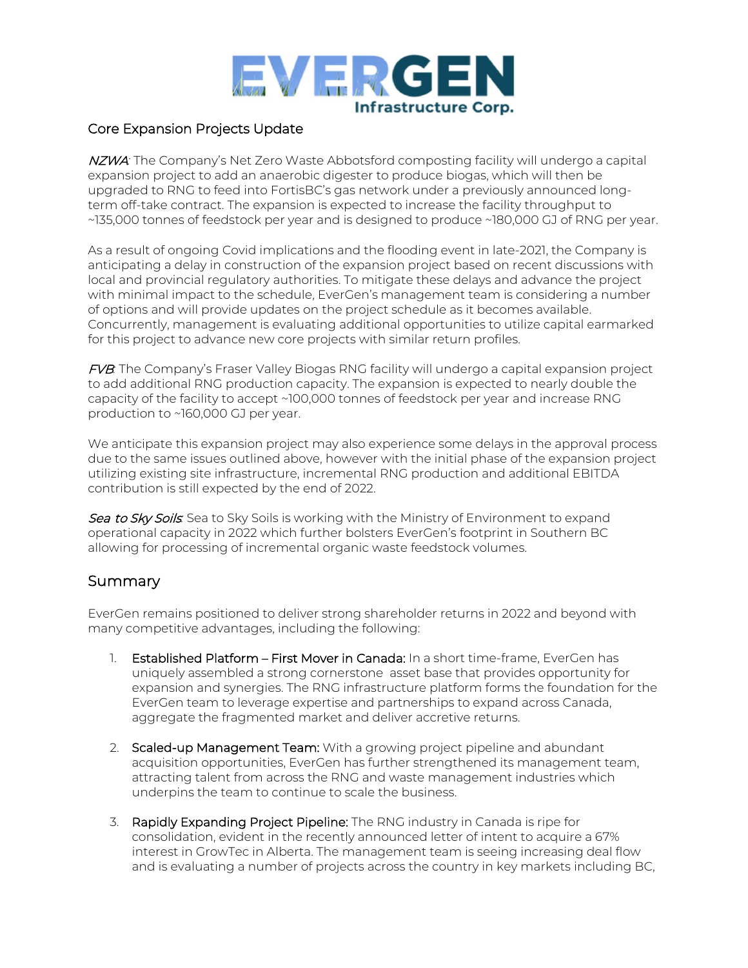

#### Core Expansion Projects Update

NZWA*:* The Company's Net Zero Waste Abbotsford composting facility will undergo a capital expansion project to add an anaerobic digester to produce biogas, which will then be upgraded to RNG to feed into FortisBC's gas network under a previously announced longterm off-take contract. The expansion is expected to increase the facility throughput to ~135,000 tonnes of feedstock per year and is designed to produce ~180,000 GJ of RNG per year.

As a result of ongoing Covid implications and the flooding event in late-2021, the Company is anticipating a delay in construction of the expansion project based on recent discussions with local and provincial regulatory authorities. To mitigate these delays and advance the project with minimal impact to the schedule, EverGen's management team is considering a number of options and will provide updates on the project schedule as it becomes available. Concurrently, management is evaluating additional opportunities to utilize capital earmarked for this project to advance new core projects with similar return profiles.

FVB*:* The Company's Fraser Valley Biogas RNG facility will undergo a capital expansion project to add additional RNG production capacity. The expansion is expected to nearly double the capacity of the facility to accept ~100,000 tonnes of feedstock per year and increase RNG production to ~160,000 GJ per year.

We anticipate this expansion project may also experience some delays in the approval process due to the same issues outlined above, however with the initial phase of the expansion project utilizing existing site infrastructure, incremental RNG production and additional EBITDA contribution is still expected by the end of 2022.

Sea to Sky Soils: Sea to Sky Soils is working with the Ministry of Environment to expand operational capacity in 2022 which further bolsters EverGen's footprint in Southern BC allowing for processing of incremental organic waste feedstock volumes.

#### Summary

EverGen remains positioned to deliver strong shareholder returns in 2022 and beyond with many competitive advantages, including the following:

- 1. **Established Platform First Mover in Canada:** In a short time-frame, EverGen has uniquely assembled a strong cornerstone asset base that provides opportunity for expansion and synergies. The RNG infrastructure platform forms the foundation for the EverGen team to leverage expertise and partnerships to expand across Canada, aggregate the fragmented market and deliver accretive returns.
- 2. Scaled-up Management Team: With a growing project pipeline and abundant acquisition opportunities, EverGen has further strengthened its management team, attracting talent from across the RNG and waste management industries which underpins the team to continue to scale the business.
- 3. Rapidly Expanding Project Pipeline: The RNG industry in Canada is ripe for consolidation, evident in the recently announced letter of intent to acquire a 67% interest in GrowTec in Alberta. The management team is seeing increasing deal flow and is evaluating a number of projects across the country in key markets including BC,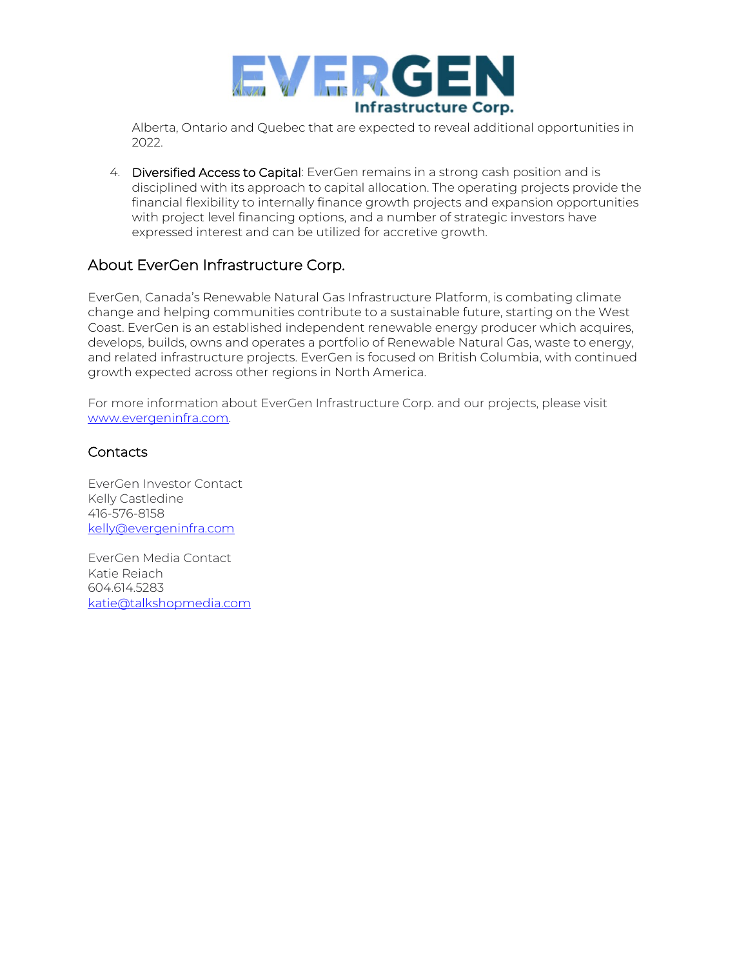

Alberta, Ontario and Quebec that are expected to reveal additional opportunities in 2022.

4. Diversified Access to Capital: EverGen remains in a strong cash position and is disciplined with its approach to capital allocation. The operating projects provide the financial flexibility to internally finance growth projects and expansion opportunities with project level financing options, and a number of strategic investors have expressed interest and can be utilized for accretive growth.

### About EverGen Infrastructure Corp.

EverGen, Canada's Renewable Natural Gas Infrastructure Platform, is combating climate change and helping communities contribute to a sustainable future, starting on the West Coast. EverGen is an established independent renewable energy producer which acquires, develops, builds, owns and operates a portfolio of Renewable Natural Gas, waste to energy, and related infrastructure projects. EverGen is focused on British Columbia, with continued growth expected across other regions in North America.

For more information about EverGen Infrastructure Corp. and our projects, please visit [www.evergeninfra.com.](http://www.evergeninfra.com/) 

#### **Contacts**

EverGen Investor Contact Kelly Castledine 416-576-8158 [kelly@evergeninfra.com](mailto:kelly@evergeninfra.com)

EverGen Media Contact Katie Reiach 604.614.5283 [katie@talkshopmedia.com](mailto:katie@talkshopmedia.com)